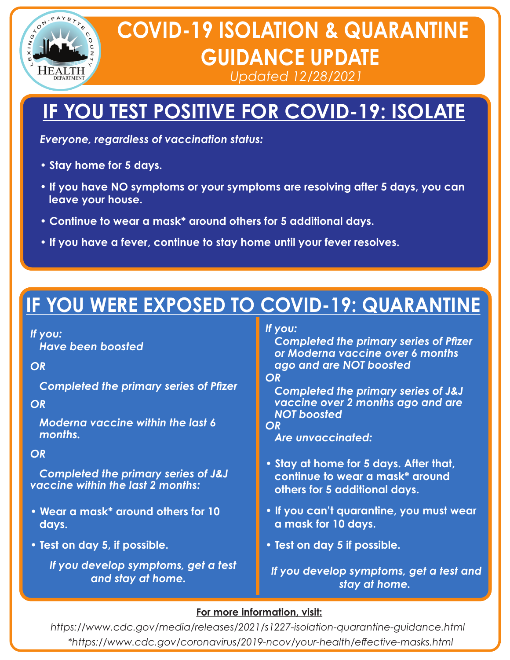

# **COVID-19 ISOLATION & QUARANTINE GUIDANCE UPDATE**

*Updated 12/28/2021*

## **IF YOU TEST POSITIVE FOR COVID-19: ISOLATE**

*Everyone, regardless of vaccination status:*

- **Stay home for 5 days.**
- **If you have NO symptoms or your symptoms are resolving after 5 days, you can leave your house.**
- **Continue to wear a mask\* around others for 5 additional days.**
- **If you have a fever, continue to stay home until your fever resolves.**

## **IF YOU WERE EXPOSED TO COVID-19: QUARANTINE**

## *If you:*

 *Have been boosted*

## *OR*

 *Completed the primary series of Pfizer* 

## *OR*

 *Moderna vaccine within the last 6 months.*

## *OR*

 *Completed the primary series of J&J vaccine within the last 2 months:*

- **Wear a mask\* around others for 10 days.**
- **Test on day 5, if possible.**

*If you develop symptoms, get a test and stay at home.*

## *If you:*

 *Completed the primary series of Pfizer or Moderna vaccine over 6 months ago and are NOT boosted*

*OR*

 *Completed the primary series of J&J vaccine over 2 months ago and are NOT boosted*

### *OR*

 *Are unvaccinated:*

- **Stay at home for 5 days. After that, continue to wear a mask\* around others for 5 additional days.**
- **If you can't quarantine, you must wear a mask for 10 days.**
- **Test on day 5 if possible.**

 *If you develop symptoms, get a test and stay at home.*

## **For more information, visit:**

*https://www.cdc.gov/media/releases/2021/s1227-isolation-quarantine-guidance.html \*https://www.cdc.gov/coronavirus/2019-ncov/your-health/eective-masks.html*